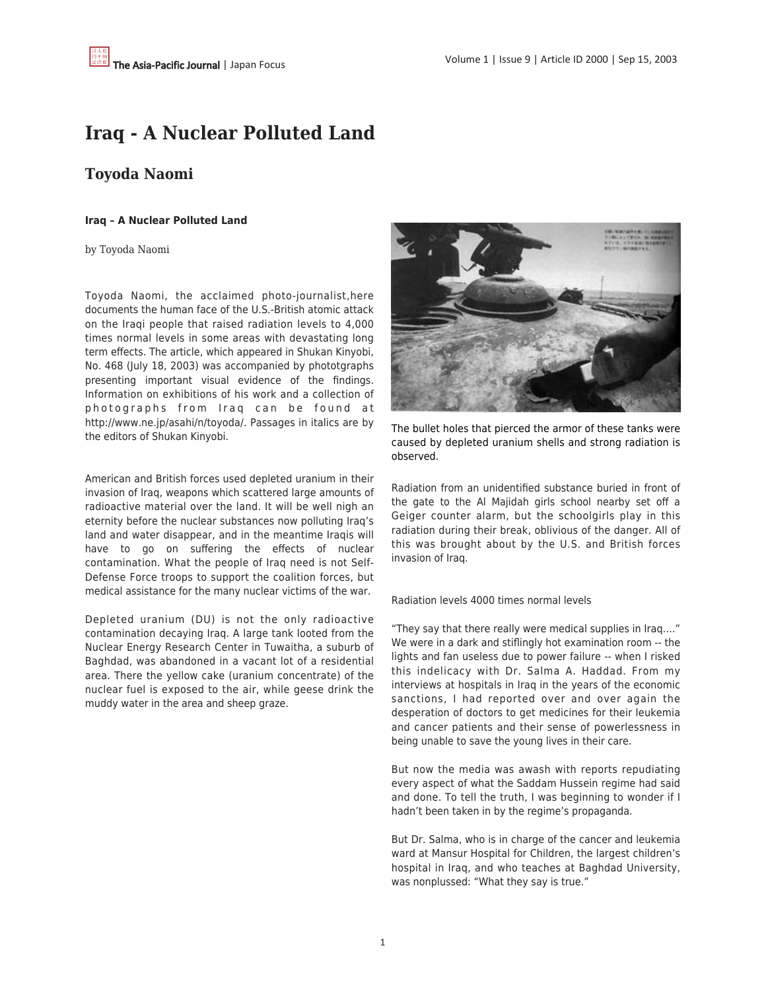## **Iraq - A Nuclear Polluted Land**

## **Toyoda Naomi**

## **Iraq – A Nuclear Polluted Land**

by Toyoda Naomi

Toyoda Naomi, the acclaimed photo-journalist,here documents the human face of the U.S.-British atomic attack on the Iraqi people that raised radiation levels to 4,000 times normal levels in some areas with devastating long term effects. The article, which appeared in Shukan Kinyobi, No. 468 (July 18, 2003) was accompanied by phototgraphs presenting important visual evidence of the findings. Information on exhibitions of his work and a collection of photographs from Iraq can be found at http://www.ne.jp/asahi/n/toyoda/. Passages in italics are by the editors of Shukan Kinyobi.

American and British forces used depleted uranium in their invasion of Iraq, weapons which scattered large amounts of radioactive material over the land. It will be well nigh an eternity before the nuclear substances now polluting Iraq's land and water disappear, and in the meantime Iraqis will have to go on suffering the effects of nuclear contamination. What the people of Iraq need is not Self-Defense Force troops to support the coalition forces, but medical assistance for the many nuclear victims of the war.

Depleted uranium (DU) is not the only radioactive contamination decaying Iraq. A large tank looted from the Nuclear Energy Research Center in Tuwaitha, a suburb of Baghdad, was abandoned in a vacant lot of a residential area. There the yellow cake (uranium concentrate) of the nuclear fuel is exposed to the air, while geese drink the muddy water in the area and sheep graze.



The bullet holes that pierced the armor of these tanks were caused by depleted uranium shells and strong radiation is observed.

Radiation from an unidentified substance buried in front of the gate to the Al Majidah girls school nearby set off a Geiger counter alarm, but the schoolgirls play in this radiation during their break, oblivious of the danger. All of this was brought about by the U.S. and British forces invasion of Iraq.

Radiation levels 4000 times normal levels

"They say that there really were medical supplies in Iraq…." We were in a dark and stiflingly hot examination room -- the lights and fan useless due to power failure -- when I risked this indelicacy with Dr. Salma A. Haddad. From my interviews at hospitals in Iraq in the years of the economic sanctions, I had reported over and over again the desperation of doctors to get medicines for their leukemia and cancer patients and their sense of powerlessness in being unable to save the young lives in their care.

But now the media was awash with reports repudiating every aspect of what the Saddam Hussein regime had said and done. To tell the truth, I was beginning to wonder if I hadn't been taken in by the regime's propaganda.

But Dr. Salma, who is in charge of the cancer and leukemia ward at Mansur Hospital for Children, the largest children's hospital in Iraq, and who teaches at Baghdad University, was nonplussed: "What they say is true."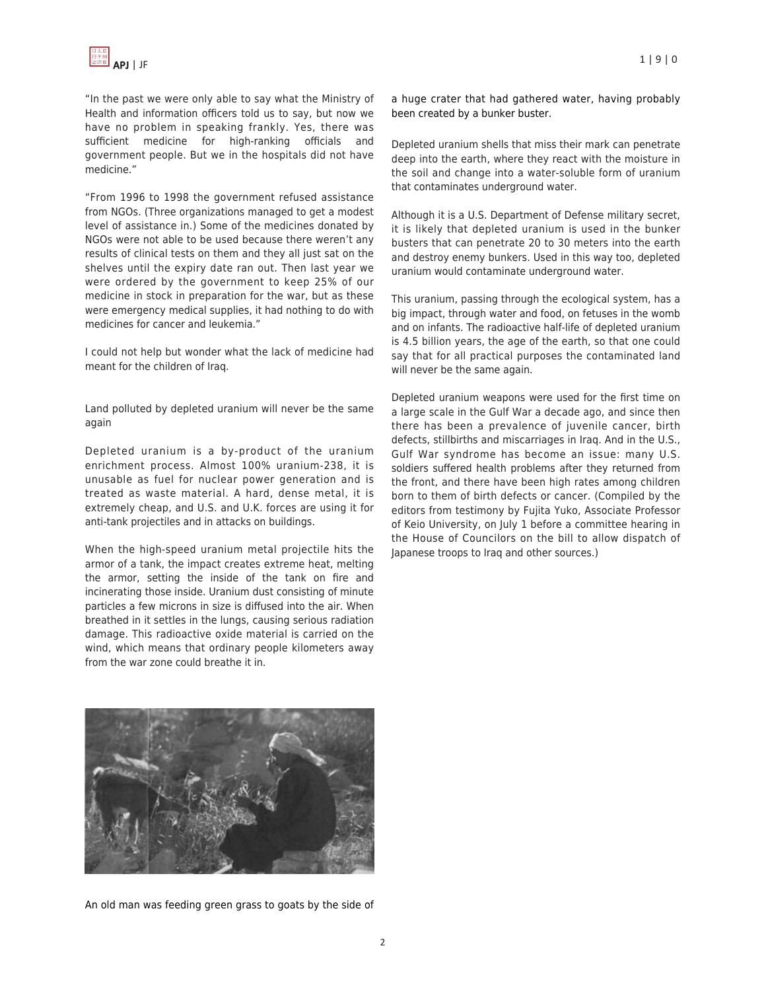"In the past we were only able to say what the Ministry of Health and information officers told us to say, but now we have no problem in speaking frankly. Yes, there was sufficient medicine for high-ranking officials and government people. But we in the hospitals did not have medicine."

"From 1996 to 1998 the government refused assistance from NGOs. (Three organizations managed to get a modest level of assistance in.) Some of the medicines donated by NGOs were not able to be used because there weren't any results of clinical tests on them and they all just sat on the shelves until the expiry date ran out. Then last year we were ordered by the government to keep 25% of our medicine in stock in preparation for the war, but as these were emergency medical supplies, it had nothing to do with medicines for cancer and leukemia."

I could not help but wonder what the lack of medicine had meant for the children of Iraq.

Land polluted by depleted uranium will never be the same again

Depleted uranium is a by-product of the uranium enrichment process. Almost 100% uranium-238, it is unusable as fuel for nuclear power generation and is treated as waste material. A hard, dense metal, it is extremely cheap, and U.S. and U.K. forces are using it for anti-tank projectiles and in attacks on buildings.

When the high-speed uranium metal projectile hits the armor of a tank, the impact creates extreme heat, melting the armor, setting the inside of the tank on fire and incinerating those inside. Uranium dust consisting of minute particles a few microns in size is diffused into the air. When breathed in it settles in the lungs, causing serious radiation damage. This radioactive oxide material is carried on the wind, which means that ordinary people kilometers away from the war zone could breathe it in.

APJ | JF 1 | 9 | 0

a huge crater that had gathered water, having probably been created by a bunker buster.

Depleted uranium shells that miss their mark can penetrate deep into the earth, where they react with the moisture in the soil and change into a water-soluble form of uranium that contaminates underground water.

Although it is a U.S. Department of Defense military secret, it is likely that depleted uranium is used in the bunker busters that can penetrate 20 to 30 meters into the earth and destroy enemy bunkers. Used in this way too, depleted uranium would contaminate underground water.

This uranium, passing through the ecological system, has a big impact, through water and food, on fetuses in the womb and on infants. The radioactive half-life of depleted uranium is 4.5 billion years, the age of the earth, so that one could say that for all practical purposes the contaminated land will never be the same again.

Depleted uranium weapons were used for the first time on a large scale in the Gulf War a decade ago, and since then there has been a prevalence of juvenile cancer, birth defects, stillbirths and miscarriages in Iraq. And in the U.S., Gulf War syndrome has become an issue: many U.S. soldiers suffered health problems after they returned from the front, and there have been high rates among children born to them of birth defects or cancer. (Compiled by the editors from testimony by Fujita Yuko, Associate Professor of Keio University, on July 1 before a committee hearing in the House of Councilors on the bill to allow dispatch of Japanese troops to Iraq and other sources.)



An old man was feeding green grass to goats by the side of